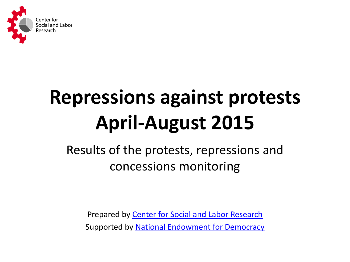

# **Repressions against protests April-August 2015**

Results of the protests, repressions and concessions monitoring

Prepared by [Center for Social and Labor Research](http://cslr.org.ua/en/)  Supported by [National Endowment for Democracy](http://www.ned.org/)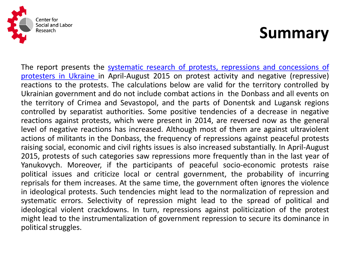

## **Summary**

The report presents the [systematic research of protests, repressions and concessions of](http://cslr.org.ua/protesti/) [protesters in Ukraine](http://cslr.org.ua/protesti/) in April-August 2015 on protest activity and negative (repressive) reactions to the protests. The calculations below are valid for the territory controlled by Ukrainian government and do not include combat actions in the Donbass and all events on the territory of Crimea and Sevastopol, and the parts of Donentsk and Lugansk regions controlled by separatist authorities. Some positive tendencies of a decrease in negative reactions against protests, which were present in 2014, are reversed now as the general level of negative reactions has increased. Although most of them are against ultraviolent actions of militants in the Donbass, the frequency of repressions against peaceful protests raising social, economic and civil rights issues is also increased substantially. In April-August 2015, protests of such categories saw repressions more frequently than in the last year of Yanukovych. Moreover, if the participants of peaceful socio-economic protests raise political issues and criticize local or central government, the probability of incurring reprisals for them increases. At the same time, the government often ignores the violence in ideological protests. Such tendencies might lead to the normalization of repression and systematic errors. Selectivity of repression might lead to the spread of political and ideological violent crackdowns. In turn, repressions against politicization of the protest might lead to the instrumentalization of government repression to secure its dominance in political struggles.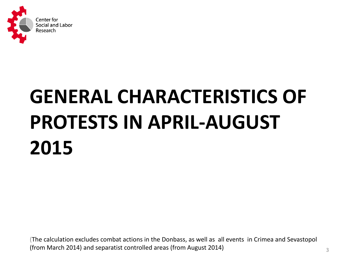

# **GENERAL CHARACTERISTICS OF PROTESTS IN APRIL-AUGUST 2015**

(The calculation excludes combat actions in the Donbass, as well as all events in Crimea and Sevastopol (from March 2014) and separatist controlled areas (from August 2014)  $\frac{3}{3}$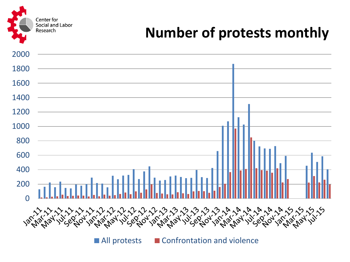Center for Social and Labor Research

#### **Number of protests monthly**



All protests EConfrontation and violence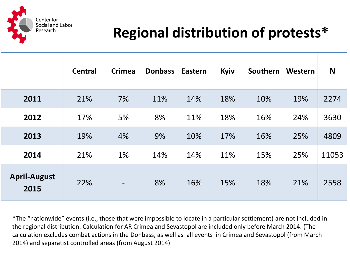

#### **Regional distribution of protests\***

|                             | <b>Central</b> | <b>Crimea</b>            | <b>Donbass</b> | <b>Eastern</b> | Kyiv | Southern | Western | N     |
|-----------------------------|----------------|--------------------------|----------------|----------------|------|----------|---------|-------|
| 2011                        | 21%            | 7%                       | 11%            | 14%            | 18%  | 10%      | 19%     | 2274  |
| 2012                        | 17%            | 5%                       | 8%             | 11%            | 18%  | 16%      | 24%     | 3630  |
| 2013                        | 19%            | 4%                       | 9%             | 10%            | 17%  | 16%      | 25%     | 4809  |
| 2014                        | 21%            | 1%                       | 14%            | 14%            | 11%  | 15%      | 25%     | 11053 |
| <b>April-August</b><br>2015 | 22%            | $\overline{\phantom{a}}$ | 8%             | 16%            | 15%  | 18%      | 21%     | 2558  |

\*The "nationwide" events (i.e., those that were impossible to locate in a particular settlement) are not included in the regional distribution. Calculation for AR Crimea and Sevastopol are included only before March 2014. (The calculation excludes combat actions in the Donbass, as well as all events in Crimea and Sevastopol (from March 2014) and separatist controlled areas (from August 2014)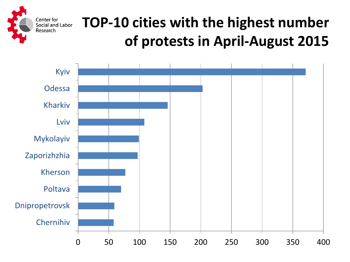

## **TOP-10 cities with the highest number of protests in April-August 2015**

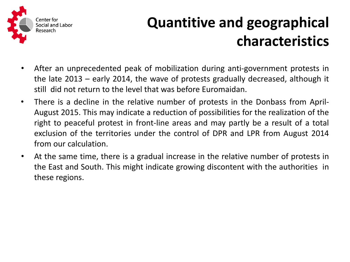

## **Quantitive and geographical characteristics**

- After an unprecedented peak of mobilization during anti-government protests in the late 2013 – early 2014, the wave of protests gradually decreased, although it still did not return to the level that was before Euromaidan.
- There is a decline in the relative number of protests in the Donbass from April-August 2015. This may indicate a reduction of possibilities for the realization of the right to peaceful protest in front-line areas and may partly be a result of a total exclusion of the territories under the control of DPR and LPR from August 2014 from our calculation.
- At the same time, there is a gradual increase in the relative number of protests in the East and South. This might indicate growing discontent with the authorities in these regions.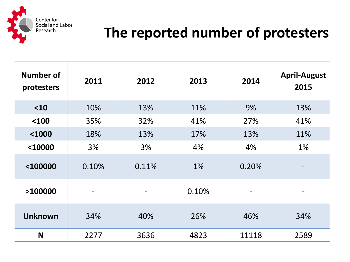

#### **The reported number of protesters**

| Number of<br>protesters | 2011                         | 2012  | 2013  | 2014  | <b>April-August</b><br>2015 |
|-------------------------|------------------------------|-------|-------|-------|-----------------------------|
| $10$                    | 10%                          | 13%   | 11%   | 9%    | 13%                         |
| $100$                   | 35%                          | 32%   | 41%   | 27%   | 41%                         |
| $1000$                  | 18%                          | 13%   | 17%   | 13%   | 11%                         |
| $10000$                 | 3%                           | 3%    | 4%    | 4%    | 1%                          |
| <100000                 | 0.10%                        | 0.11% | 1%    | 0.20% |                             |
| >100000                 | $\qquad \qquad \blacksquare$ |       | 0.10% |       |                             |
| <b>Unknown</b>          | 34%                          | 40%   | 26%   | 46%   | 34%                         |
| N                       | 2277                         | 3636  | 4823  | 11118 | 2589                        |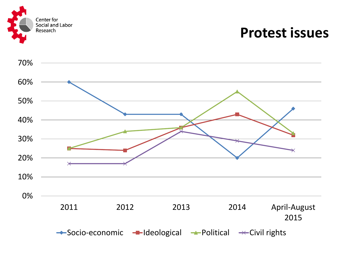

#### **Protest issues**

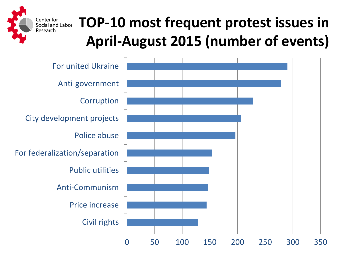

## **TOP-10 most frequent protest issues in April-August 2015 (number of events)**

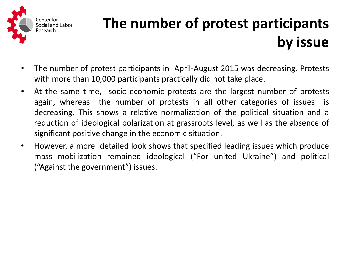

## **The number of protest participants by issue**

- The number of protest participants in April-August 2015 was decreasing. Protests with more than 10,000 participants practically did not take place.
- At the same time, socio-economic protests are the largest number of protests again, whereas the number of protests in all other categories of issues is decreasing. This shows a relative normalization of the political situation and a reduction of ideological polarization at grassroots level, as well as the absence of significant positive change in the economic situation.
- However, a more detailed look shows that specified leading issues which produce mass mobilization remained ideological ("For united Ukraine") and political ("Against the government") issues.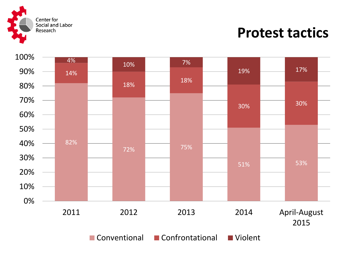

#### **Protest tactics**



■ Conventional ■ Confrontational ■ Violent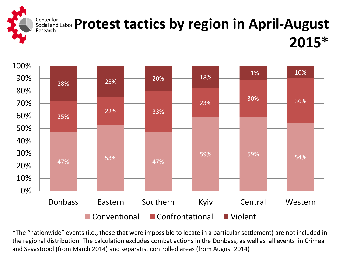

#### Center for **Equal and Labor Protest tactics by region in April-August** Research **2015\***



\*The "nationwide" events (i.e., those that were impossible to locate in a particular settlement) are not included in the regional distribution. The calculation excludes combat actions in the Donbass, as well as all events in Crimea and Sevastopol (from March 2014) and separatist controlled areas (from August 2014)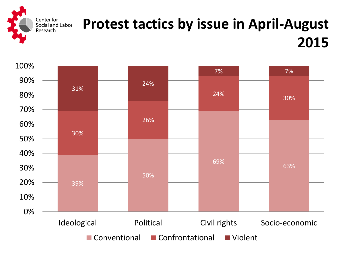

#### **Protest tactics by issue in April-August 2015**

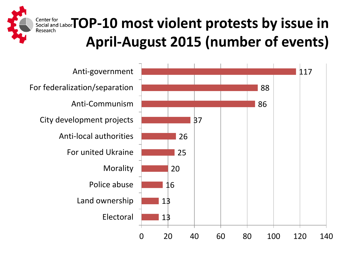

Center for

Research

## **Editer for and LaborTOP-10 most violent protests by issue in April-August 2015 (number of events)**

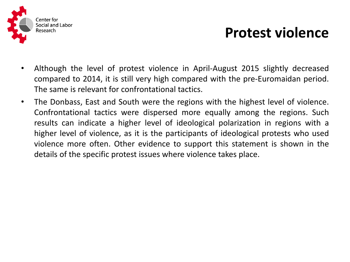

#### **Protest violence**

- Although the level of protest violence in April-August 2015 slightly decreased compared to 2014, it is still very high compared with the pre-Euromaidan period. The same is relevant for confrontational tactics.
- The Donbass, East and South were the regions with the highest level of violence. Confrontational tactics were dispersed more equally among the regions. Such results can indicate a higher level of ideological polarization in regions with a higher level of violence, as it is the participants of ideological protests who used violence more often. Other evidence to support this statement is shown in the details of the specific protest issues where violence takes place.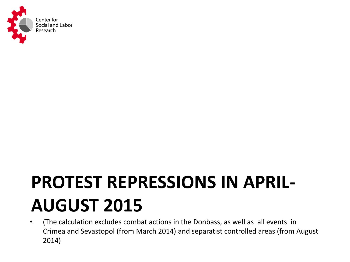

## **PROTEST REPRESSIONS IN APRIL-AUGUST 2015**

• (The calculation excludes combat actions in the Donbass, as well as all events in Crimea and Sevastopol (from March 2014) and separatist controlled areas (from August 2014)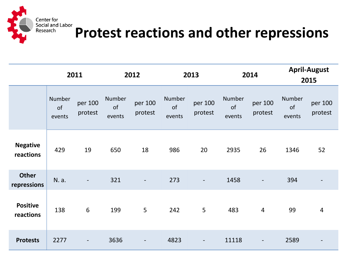

# Eenter for<br>Bocial and Labor<br>Research **Protest reactions and other repressions**

|                              | 2011                   |                              | 2012                          |                          |                        | 2013                     |                               | 2014                     |                        | <b>April-August</b><br>2015 |  |
|------------------------------|------------------------|------------------------------|-------------------------------|--------------------------|------------------------|--------------------------|-------------------------------|--------------------------|------------------------|-----------------------------|--|
|                              | Number<br>of<br>events | per 100<br>protest           | <b>Number</b><br>of<br>events | per 100<br>protest       | Number<br>of<br>events | per 100<br>protest       | <b>Number</b><br>of<br>events | per 100<br>protest       | Number<br>of<br>events | per 100<br>protest          |  |
| <b>Negative</b><br>reactions | 429                    | 19                           | 650                           | 18                       | 986                    | 20                       | 2935                          | 26                       | 1346                   | 52                          |  |
| <b>Other</b><br>repressions  | N. a.                  | $\qquad \qquad \blacksquare$ | 321                           | $\overline{\phantom{0}}$ | 273                    | $\overline{\phantom{a}}$ | 1458                          | $\overline{\phantom{a}}$ | 394                    |                             |  |
| <b>Positive</b><br>reactions | 138                    | $6\,$                        | 199                           | 5                        | 242                    | 5                        | 483                           | $\overline{4}$           | 99                     | $\overline{4}$              |  |
| <b>Protests</b>              | 2277                   | $\overline{\phantom{a}}$     | 3636                          | $\overline{\phantom{a}}$ | 4823                   | $\blacksquare$           | 11118                         | $\overline{\phantom{a}}$ | 2589                   |                             |  |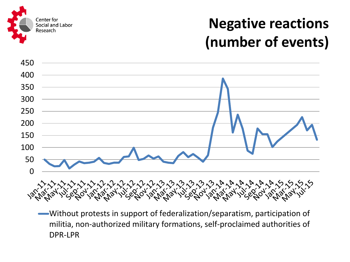

### **Negative reactions (number of events)**



Without protests in support of federalization/separatism, participation of militia, non-authorized military formations, self-proclaimed authorities of DPR-LPR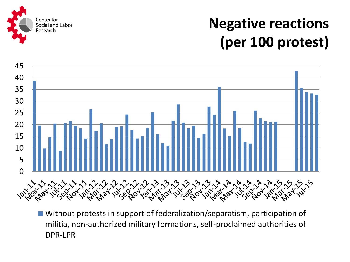

## **Negative reactions (per 100 protest)**



■ Without protests in support of federalization/separatism, participation of militia, non-authorized military formations, self-proclaimed authorities of DPR-LPR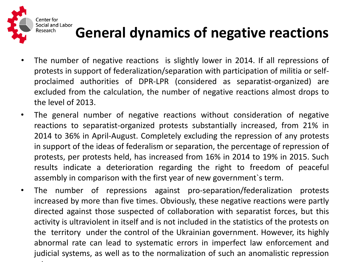

## **General dynamics of negative reactions**

- The number of negative reactions is slightly lower in 2014. If all repressions of protests in support of federalization/separation with participation of militia or selfproclaimed authorities of DPR-LPR (considered as separatist-organized) are excluded from the calculation, the number of negative reactions almost drops to the level of 2013.
- The general number of negative reactions without consideration of negative reactions to separatist-organized protests substantially increased, from 21% in 2014 to 36% in April-August. Completely excluding the repression of any protests in support of the ideas of federalism or separation, the percentage of repression of protests, per protests held, has increased from 16% in 2014 to 19% in 2015. Such results indicate a deterioration regarding the right to freedom of peaceful assembly in comparison with the first year of new government`s term.
- The number of repressions against pro-separation/federalization protests increased by more than five times. Obviously, these negative reactions were partly directed against those suspected of collaboration with separatist forces, but this activity is ultraviolent in itself and is not included in the statistics of the protests on the territory under the control of the Ukrainian government. However, its highly abnormal rate can lead to systematic errors in imperfect law enforcement and judicial systems, as well as to the normalization of such an anomalistic repression rate.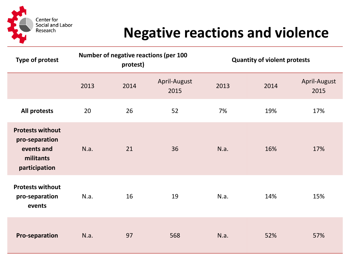

#### **Negative reactions and violence**

| <b>Type of protest</b>                                                                | Number of negative reactions (per 100<br>protest) |      |                      |      | <b>Quantity of violent protests</b> |                      |  |
|---------------------------------------------------------------------------------------|---------------------------------------------------|------|----------------------|------|-------------------------------------|----------------------|--|
|                                                                                       | 2013                                              | 2014 | April-August<br>2015 | 2013 | 2014                                | April-August<br>2015 |  |
| All protests                                                                          | 20                                                | 26   | 52                   | 7%   | 19%                                 | 17%                  |  |
| <b>Protests without</b><br>pro-separation<br>events and<br>militants<br>participation | N.a.                                              | 21   | 36                   | N.a. | 16%                                 | 17%                  |  |
| <b>Protests without</b><br>pro-separation<br>events                                   | N.a.                                              | 16   | 19                   | N.a. | 14%                                 | 15%                  |  |
| <b>Pro-separation</b>                                                                 | N.a.                                              | 97   | 568                  | N.a. | 52%                                 | 57%                  |  |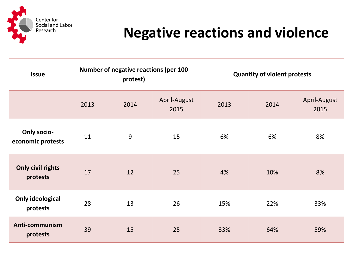

#### **Negative reactions and violence**

| <b>Issue</b>                            | <b>Number of negative reactions (per 100</b><br>protest) |      |                      |      | <b>Quantity of violent protests</b> |                      |  |
|-----------------------------------------|----------------------------------------------------------|------|----------------------|------|-------------------------------------|----------------------|--|
|                                         | 2013                                                     | 2014 | April-August<br>2015 | 2013 | 2014                                | April-August<br>2015 |  |
| <b>Only socio-</b><br>economic protests | 11                                                       | 9    | 15                   | 6%   | 6%                                  | 8%                   |  |
| <b>Only civil rights</b><br>protests    | 17                                                       | 12   | 25                   | 4%   | 10%                                 | 8%                   |  |
| <b>Only ideological</b><br>protests     | 28                                                       | 13   | 26                   | 15%  | 22%                                 | 33%                  |  |
| Anti-communism<br>protests              | 39                                                       | 15   | 25                   | 33%  | 64%                                 | 59%                  |  |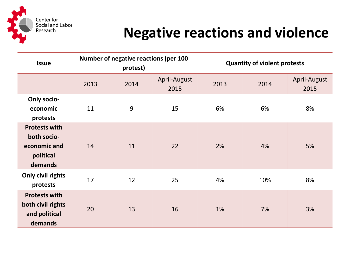

#### **Negative reactions and violence**

| <b>Issue</b>                                                                | Number of negative reactions (per 100<br>protest) |      |                      |      | <b>Quantity of violent protests</b> |                      |  |
|-----------------------------------------------------------------------------|---------------------------------------------------|------|----------------------|------|-------------------------------------|----------------------|--|
|                                                                             | 2013                                              | 2014 | April-August<br>2015 | 2013 | 2014                                | April-August<br>2015 |  |
| <b>Only socio-</b><br>economic<br>protests                                  | 11                                                | 9    | 15                   | 6%   | 6%                                  | 8%                   |  |
| <b>Protests with</b><br>both socio-<br>economic and<br>political<br>demands | 14                                                | 11   | 22                   | 2%   | 4%                                  | 5%                   |  |
| Only civil rights<br>protests                                               | 17                                                | 12   | 25                   | 4%   | 10%                                 | 8%                   |  |
| <b>Protests with</b><br>both civil rights<br>and political<br>demands       | 20                                                | 13   | 16                   | 1%   | 7%                                  | 3%                   |  |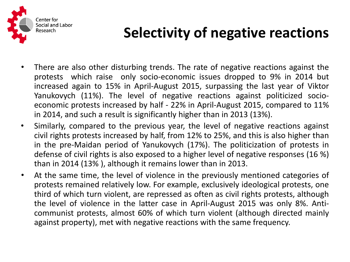

#### **Selectivity of negative reactions**

- There are also other disturbing trends. The rate of negative reactions against the protests which raise only socio-economic issues dropped to 9% in 2014 but increased again to 15% in April-August 2015, surpassing the last year of Viktor Yanukovych (11%). The level of negative reactions against politicized socioeconomic protests increased by half - 22% in April-August 2015, compared to 11% in 2014, and such a result is significantly higher than in 2013 (13%).
- Similarly, compared to the previous year, the level of negative reactions against civil rights protests increased by half, from 12% to 25%, and this is also higher than in the pre-Maidan period of Yanukovych (17%). The politicization of protests in defense of civil rights is also exposed to a higher level of negative responses (16 %) than in 2014 (13% ), although it remains lower than in 2013.
- At the same time, the level of violence in the previously mentioned categories of protests remained relatively low. For example, exclusively ideological protests, one third of which turn violent, are repressed as often as civil rights protests, although the level of violence in the latter case in April-August 2015 was only 8%. Anticommunist protests, almost 60% of which turn violent (although directed mainly against property), met with negative reactions with the same frequency.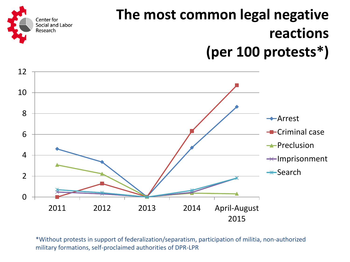

## **The most common legal negative reactions (per 100 protests\*)**



\*Without protests in support of federalization/separatism, participation of militia, non-authorized military formations, self-proclaimed authorities of DPR-LPR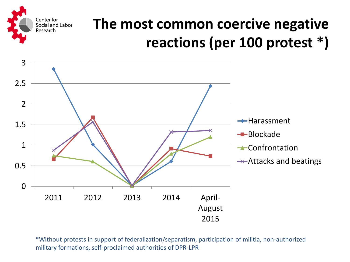#### **The most common coercive negative reactions (per 100 protest \*)**



Center for Social and Labor

Research

\*Without protests in support of federalization/separatism, participation of militia, non-authorized military formations, self-proclaimed authorities of DPR-LPR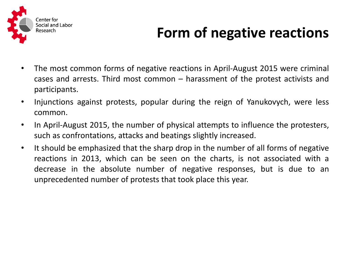

### **Form of negative reactions**

- The most common forms of negative reactions in April-August 2015 were criminal cases and arrests. Third most common – harassment of the protest activists and participants.
- Injunctions against protests, popular during the reign of Yanukovych, were less common.
- In April-August 2015, the number of physical attempts to influence the protesters, such as confrontations, attacks and beatings slightly increased.
- It should be emphasized that the sharp drop in the number of all forms of negative reactions in 2013, which can be seen on the charts, is not associated with a decrease in the absolute number of negative responses, but is due to an unprecedented number of protests that took place this year.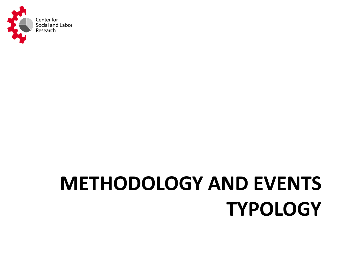

# **METHODOLOGY AND EVENTS TYPOLOGY**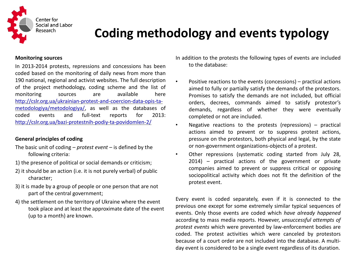

#### **Coding methodology and events typology**

#### **Monitoring sources**

In 2013-2014 protests, repressions and concessions has been coded based on the monitoring of daily news from more than 190 national, regional and activist websites. The full description of the project methodology, coding scheme and the list of monitoring sources are available here [http://cslr.org.ua/ukrainian-protest-and-coercion-data-opis-ta](http://cslr.org.ua/ukrainian-protest-and-coercion-data-opis-ta-metodologiya/metodologiya/)[metodologiya/metodologiya/](http://cslr.org.ua/ukrainian-protest-and-coercion-data-opis-ta-metodologiya/metodologiya/), as well as the databases of coded events and full-text reports for 2013: <http://cslr.org.ua/bazi-protestnih-podiy-ta-povidomlen-2/>

#### **General principles of coding**

- The basic unit of coding *protest event* is defined by the following criteria:
- 1) the presence of political or social demands or criticism;
- 2) it should be an action (i.e. it is not purely verbal) of public character;
- 3) it is made by a group of people or one person that are not part of the central government;
- 4) the settlement on the territory of Ukraine where the event took place and at least the approximate date of the event (up to a month) are known.

In addition to the protests the following types of events are included to the database:

- Positive reactions to the events (concessions) practical actions aimed to fully or partially satisfy the demands of the protestors. Promises to satisfy the demands are not included, but official orders, decrees, commands aimed to satisfy protestor's demands, regardless of whether they were eventually completed or not are included.
- Negative reactions to the protests (repressions) practical actions aimed to prevent or to suppress protest actions, pressure on the protestors, both physical and legal, by the state or non-government organizations-objects of a protest.
- Other repressions (systematic coding started from July 28, 2014) – practical actions of the government or private companies aimed to prevent or suppress critical or opposing sociopolitical activity which does not fit the definition of the protest event.

Every event is coded separately, even if it is connected to the previous one except for some extremely similar typical sequences of events. Only those events are coded which *have already happened* according to mass media reports. However, *unsuccessful attempts of protest events* which were prevented by law-enforcement bodies are coded. The protest activities which were canceled by protestors because of a court order are not included into the database. A multiday event is considered to be a single event regardless of its duration.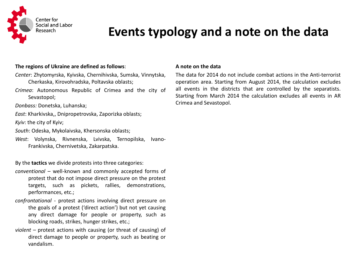

#### **Events typology and a note on the data**

#### **The regions of Ukraine are defined as follows**:

- *Center*: Zhytomyrska, Kyivska, Chernihivska, Sumska, Vinnytska, Cherkaska, Kirovohradska, Poltavska oblasts;
- *Crimea*: Autonomous Republic of Crimea and the city of Sevastopol;
- *Donbass:* Donetska, Luhanska;
- *East*: Kharkivska,, Dnipropetrovska, Zaporizka oblasts;
- *Kyiv*: the city of Kyiv;
- *South*: Odeska, Mykolaivska, Khersonska oblasts;
- *West*: Volynska, Rivnenska, Lvivska, Ternopilska, Ivano-Frankivska, Chernivetska, Zakarpatska.

By the **tactics** we divide protests into three categories:

- *conventional* well-known and commonly accepted forms of protest that do not impose direct pressure on the protest targets, such as pickets, rallies, demonstrations, performances, etc.;
- *confrontational*  protest actions involving direct pressure on the goals of a protest ('direct action') but not yet causing any direct damage for people or property, such as blocking roads, strikes, hunger strikes, etc.;
- *violent*  protest actions with causing (or threat of causing) of direct damage to people or property, such as beating or vandalism.

#### **A note on the data**

The data for 2014 do not include combat actions in the Anti-terrorist operation area. Starting from August 2014, the calculation excludes all events in the districts that are controlled by the separatists. Starting from March 2014 the calculation excludes all events in AR Crimea and Sevastopol.